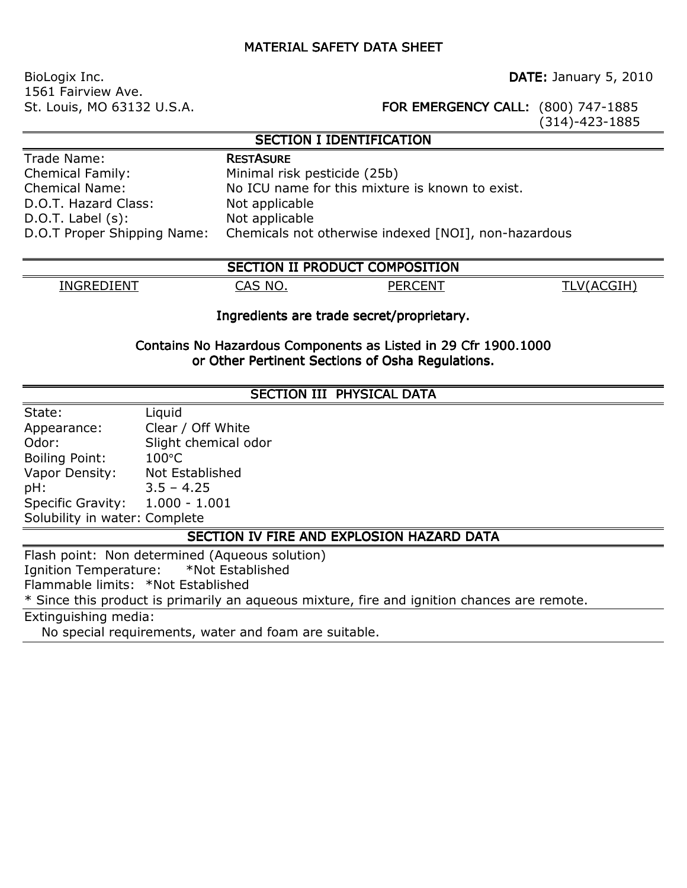## **MATERIAL SAFETY DATA SHEET**

BioLogix Inc. **DATE:** January 5, 2010 1561 Fairview Ave.

St. Louis, MO 63132 U.S.A. **FOR EMERGENCY CALL:** (800) 747-1885

(314)-423-1885

## **SECTION I IDENTIFICATION**

| Trade Name:                |  |
|----------------------------|--|
| <b>Chemical Family:</b>    |  |
| <b>Chemical Name:</b>      |  |
| D.O.T. Hazard Class:       |  |
| $D.O.T.$ Label $(s)$ :     |  |
| D.O.T Proper Shipping Name |  |

**RESTASURE** Minimal risk pesticide (25b) No ICU name for this mixture is known to exist. Not applicable Not applicable : Chemicals not otherwise indexed [NOI], non-hazardous

| SECTION II PRODUCT COMPOSITION |                  |      |              |  |  |
|--------------------------------|------------------|------|--------------|--|--|
| INGREDIENT                     | <b>NO</b><br>CAS | `FN' | $\mathbf{v}$ |  |  |

## Ingredients are trade secret/proprietary.

#### Contains No Hazardous Components as Listed in 29 Cfr 1900.1000 or Other Pertinent Sections of Osha Regulations.

#### SECTION III PHYSICAL DATA

| State:                        | Liquid               |
|-------------------------------|----------------------|
| Appearance:                   | Clear / Off White    |
| Odor:                         | Slight chemical odor |
| <b>Boiling Point:</b>         | $100^{\circ}$ C      |
| Vapor Density:                | Not Established      |
| pH:                           | $3.5 - 4.25$         |
| Specific Gravity:             | $1.000 - 1.001$      |
| Solubility in water: Complete |                      |

## SECTION IV FIRE AND EXPLOSION HAZARD DATA

Flash point: Non determined (Aqueous solution) Ignition Temperature: \*Not Established Flammable limits: \*Not Established \* Since this product is primarily an aqueous mixture, fire and ignition chances are remote. Extinguishing media:

No special requirements, water and foam are suitable.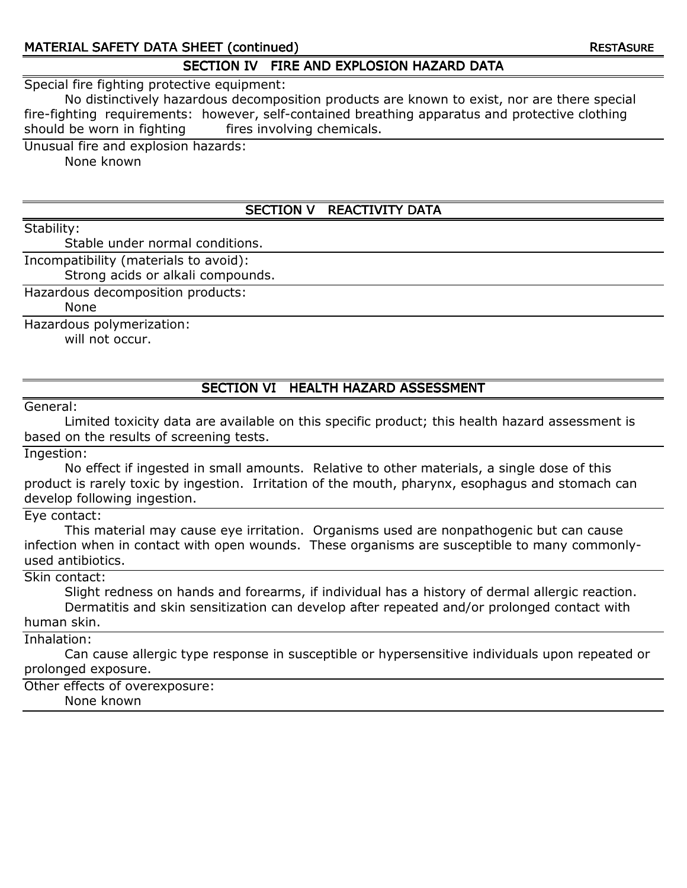## MATERIAL SAFETY DATA SHEET (continued) and a continued research of the RESTASURE

## SECTION IV FIRE AND EXPLOSION HAZARD DATA

Special fire fighting protective equipment:

 No distinctively hazardous decomposition products are known to exist, nor are there special fire-fighting requirements: however, self-contained breathing apparatus and protective clothing should be worn in fighting fires involving chemicals.

Unusual fire and explosion hazards:

None known

## SECTION V REACTIVITY DATA

Stability:

Stable under normal conditions.

Incompatibility (materials to avoid):

Strong acids or alkali compounds.

Hazardous decomposition products:

None

Hazardous polymerization:

will not occur.

## SECTION VI HEALTH HAZARD ASSESSMENT

General:

 Limited toxicity data are available on this specific product; this health hazard assessment is based on the results of screening tests.

Ingestion:

 No effect if ingested in small amounts. Relative to other materials, a single dose of this product is rarely toxic by ingestion. Irritation of the mouth, pharynx, esophagus and stomach can develop following ingestion.

Eye contact:

 This material may cause eye irritation. Organisms used are nonpathogenic but can cause infection when in contact with open wounds. These organisms are susceptible to many commonlyused antibiotics.

Skin contact:

 Slight redness on hands and forearms, if individual has a history of dermal allergic reaction. Dermatitis and skin sensitization can develop after repeated and/or prolonged contact with human skin.

Inhalation:

 Can cause allergic type response in susceptible or hypersensitive individuals upon repeated or prolonged exposure.

Other effects of overexposure: None known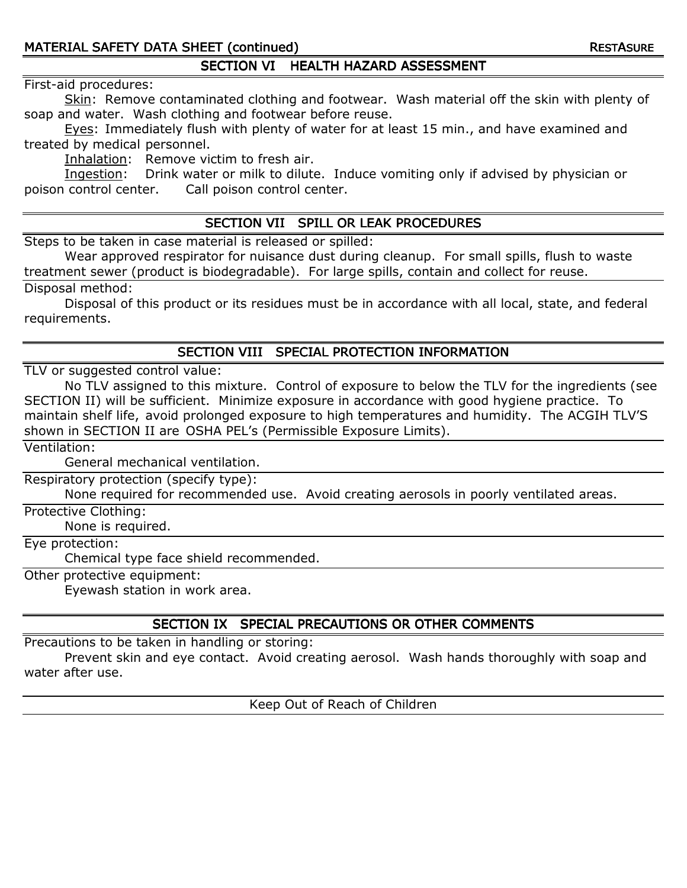## SECTION VI HEALTH HAZARD ASSESSMENT

#### First-aid procedures:

Skin: Remove contaminated clothing and footwear. Wash material off the skin with plenty of soap and water. Wash clothing and footwear before reuse.

Eyes: Immediately flush with plenty of water for at least 15 min., and have examined and treated by medical personnel.

Inhalation: Remove victim to fresh air.

Ingestion: Drink water or milk to dilute. Induce vomiting only if advised by physician or poison control center. Call poison control center.

## SECTION VII SPILL OR LEAK PROCEDURES

Steps to be taken in case material is released or spilled:

 Wear approved respirator for nuisance dust during cleanup. For small spills, flush to waste treatment sewer (product is biodegradable). For large spills, contain and collect for reuse.

Disposal method:

 Disposal of this product or its residues must be in accordance with all local, state, and federal requirements.

## SECTION VIII SPECIAL PROTECTION INFORMATION INFORMATION

TLV or suggested control value:

 No TLV assigned to this mixture. Control of exposure to below the TLV for the ingredients (see SECTION II) will be sufficient. Minimize exposure in accordance with good hygiene practice. To maintain shelf life, avoid prolonged exposure to high temperatures and humidity. The ACGIH TLV'S shown in SECTION II are OSHA PEL's (Permissible Exposure Limits).

Ventilation:

General mechanical ventilation.

Respiratory protection (specify type):

None required for recommended use. Avoid creating aerosols in poorly ventilated areas.

Protective Clothing:

None is required.

Eye protection:

Chemical type face shield recommended.

Other protective equipment:

Eyewash station in work area.

## SECTION IX SPECIAL PRECAUTIONS OR OTHER COMMENTS

Precautions to be taken in handling or storing:

 Prevent skin and eye contact. Avoid creating aerosol. Wash hands thoroughly with soap and water after use.

Keep Out of Reach of Children